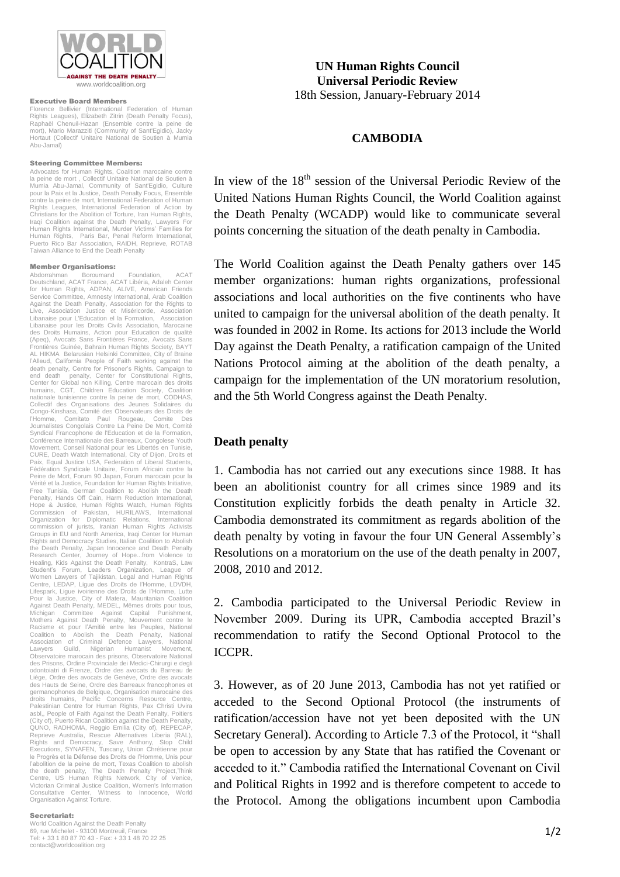

#### Executive Board Members

Florence Bellivier (International Federation of Human Rights Leagues), Elizabeth Zitrin (Death Penalty Focus), Raphaël Chenuil-Hazan (Ensemble contre la peine de mort), Mario Marazziti (Community of Sant'Egidio), Jacky Hortaut (Collectif Unitaire National de Soutien à Mumia Abu-Jamal)

### Steering Committee Members:

Advocates for Human Rights, Coalition marocaine contre la peine de mort , Collectif Unitaire National de Soutien à Mumia Abu-Jamal, Community of Sant'Egidio, Culture pour la Paix et la Justice, Death Penalty Focus, Ensemble contre la peine de mort, International Federation of Human Rights Leagues, International Federation of Action by Christians for the Abolition of Torture, Iran Human Rights, Iraqi Coalition against the Death Penalty, Lawyers For Human Rights International, Murder Victims' Families for Human Rights, Paris Bar, Penal Reform International, Puerto Rico Bar Association, RAIDH, Reprieve, ROTAB Taiwan Alliance to End the Death Penalty

#### Member Organisations:

Abdorrahman Boroumand Foundation, ACAT Deutschland, ACAT France, ACAT Libéria, Adaleh Center for Human Rights, ADPAN, ALIVE, American Friends Service Committee, Amnesty International, Arab Coalition Against the Death Penalty, Association for the Rights to Live, Association Justice et Miséricorde, Association Libanaise pour L'Education el la Formation, Association Libanaise pour les Droits Civils Association, Marocaine des Droits Humains, Action pour Education de qualité (Apeq), Avocats Sans Frontières France, Avocats Sans Frontières Guinée, Bahrain Human Rights Society, BAYT AL HIKMA Belarusian Helsinki Committee, City of Braine l'Alleud, California People of Faith working against the death penalty, Centre for Prisoner's Rights, Campaign to end death penalty, Center for Constitutional Rights, Center for Global non Killing, Centre marocain des droits humains, CGT, Children Education Society, Coalition nationale tunisienne contre la peine de mort, CODHAS, Collectif des Organisations des Jeunes Solidaires du Congo-Kinshasa, Comité des Observateurs des Droits de l'Homme, Comitato Paul Rougeau, Comite Des Journalistes Congolais Contre La Peine De Mort, Comité Syndical Francophone de l'Education et de la Formation. Conférence Internationale des Barreaux, Congolese Youth Movement, Conseil National pour les Libertés en Tunisie, CURE, Death Watch International, City of Dijon, Droits et Paix, Equal Justice USA, Federation of Liberal Students, Fédération Syndicale Unitaire, Forum Africain contre la Peine de Mort, Forum 90 Japan, Forum marocain pour la Vérité et la Justice, Foundation for Human Rights Initiative, Free Tunisia, German Coalition to Abolish the Death Penalty, Hands Off Cain, Harm Reduction International,<br>Hope & Justice, Human Rights Watch, Human Rights<br>Commission of Pakistan, HURILAWS, International<br>Organization for Diplomatic Relations, International commission of jurists, Iranian Human Rights Activists Groups in EU and North America, Iraqi Center for Human Rights and Democracy Studies, Italian Coalition to Abolish the Death Penalty, Japan Innocence and Death Penalty Research Center, Journey of Hope...from Violence to Healing, Kids Against the Death Penalty, KontraS, Law Student's Forum, Leaders Organization, League of<br>Women Lawyers of Tajikistan, Legal and Human Rights<br>Centre, LEDAP, Ligue des Droits de l'Homme, LDVDH,<br>Lifespark, Ligue ivoirienne des Droits de l'Homme, Lutte Pour la Justice, City of Matera, Mauritanian Coalition Against Death Penalty, MEDEL, Mêmes droits pour tous, Michigan Committee Against Capital Punishment, Mothers Against Death Penalty, Mouvement contre le Racisme et pour l'Amitié entre les Peuples, National Coalition to Abolish the Death Penalty, National Association of Criminal Defence Lawyers, National Lawyers Guild, Nigerian Humanist Movement, Observatoire marocain des prisons, Observatoire National des Prisons, Ordine Provinciale dei Medici-Chirurgi e degli odontoiatri di Firenze, Ordre des avocats du Barreau de Liège, Ordre des avocats de Genève, Ordre des avocats des Hauts de Seine, Ordre des Barreaux francophones et germanophones de Belgique, Organisation marocaine des droits humains, Pacific Concerns Resource Centre, Palestinian Centre for Human Rights, Pax Christi Uvira asbl,, People of Faith Against the Death Penalty, Poitiers (City of), Puerto Rican Coalition against the Death Penalty, QUNO, RADHOMA, Reggio Emilia (City of), REPECAP, Reprieve Australia, Rescue Alternatives Liberia (RAL), Rights and Democracy, Save Anthony, Stop Child Executions, SYNAFEN, Tuscany, Union Chrétienne pour le Progrès et la Défense des Droits de l'Homme, Unis pour l'abolition de la peine de mort, Texas Coalition to abolish the death penalty, The Death Penalty Project,Think Centre, US Human Rights Network, City of Venice, Victorian Criminal Justice Coalition, Women's Information Consultative Center, Witness to Innocence, World Organisation Against Torture.

### Secretariat:

World Coalition Against the Death Penalty 69, rue Michelet - 93100 Montreuil, France Tel: + 33 1 80 87 70 43 - Fax: + 33 1 48 70 22 25 contact@worldcoalition.org

**UN Human Rights Council Universal Periodic Review** 18th Session, January-February 2014

# **CAMBODIA**

In view of the 18<sup>th</sup> session of the Universal Periodic Review of the United Nations Human Rights Council, the World Coalition against the Death Penalty (WCADP) would like to communicate several points concerning the situation of the death penalty in Cambodia.

The World Coalition against the Death Penalty gathers over 145 member organizations: human rights organizations, professional associations and local authorities on the five continents who have united to campaign for the universal abolition of the death penalty. It was founded in 2002 in Rome. Its actions for 2013 include the World Day against the Death Penalty, a ratification campaign of the United Nations Protocol aiming at the abolition of the death penalty, a campaign for the implementation of the UN moratorium resolution, and the 5th World Congress against the Death Penalty.

# **Death penalty**

1. Cambodia has not carried out any executions since 1988. It has been an abolitionist country for all crimes since 1989 and its Constitution explicitly forbids the death penalty in Article 32. Cambodia demonstrated its commitment as regards abolition of the death penalty by voting in favour the four UN General Assembly's Resolutions on a moratorium on the use of the death penalty in 2007, 2008, 2010 and 2012.

2. Cambodia participated to the Universal Periodic Review in November 2009. During its UPR, Cambodia accepted Brazil's recommendation to ratify the Second Optional Protocol to the ICCPR.

3. However, as of 20 June 2013, Cambodia has not yet ratified or acceded to the Second Optional Protocol (the instruments of ratification/accession have not yet been deposited with the UN Secretary General). According to Article 7.3 of the Protocol, it "shall be open to accession by any State that has ratified the Covenant or acceded to it." Cambodia ratified the International Covenant on Civil and Political Rights in 1992 and is therefore competent to accede to the Protocol. Among the obligations incumbent upon Cambodia